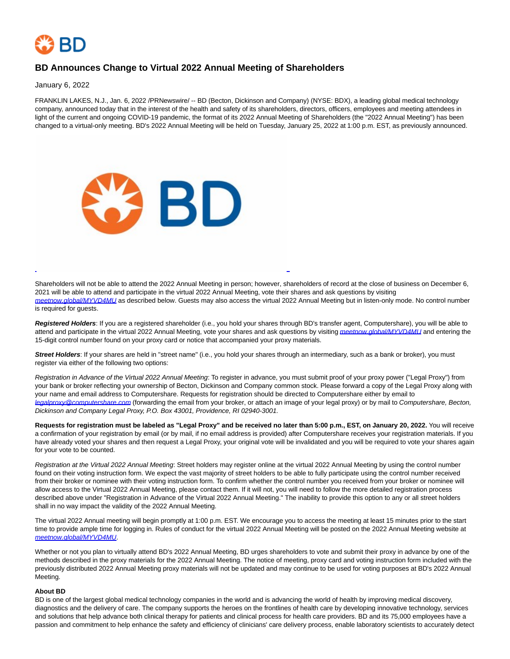

## **BD Announces Change to Virtual 2022 Annual Meeting of Shareholders**

January 6, 2022

FRANKLIN LAKES, N.J., Jan. 6, 2022 /PRNewswire/ -- BD (Becton, Dickinson and Company) (NYSE: BDX), a leading global medical technology company, announced today that in the interest of the health and safety of its shareholders, directors, officers, employees and meeting attendees in light of the current and ongoing COVID-19 pandemic, the format of its 2022 Annual Meeting of Shareholders (the "2022 Annual Meeting") has been changed to a virtual-only meeting. BD's 2022 Annual Meeting will be held on Tuesday, January 25, 2022 at 1:00 p.m. EST, as previously announced.



Shareholders will not be able to attend the 2022 Annual Meeting in person; however, shareholders of record at the close of business on December 6, 2021 will be able to attend and participate in the virtual 2022 Annual Meeting, vote their shares and ask questions by visiting [meetnow.global/MYVD4MU](https://c212.net/c/link/?t=0&l=en&o=3406115-1&h=3768550081&u=http%3A%2F%2Fmeetnow.global%2FMYVD4MU&a=meetnow.global%2FMYVD4MU) as described below. Guests may also access the virtual 2022 Annual Meeting but in listen-only mode. No control number is required for guests.

 $\overline{a}$ 

**Registered Holders**: If you are a registered shareholder (i.e., you hold your shares through BD's transfer agent, Computershare), you will be able to attend and participate in the virtual 2022 Annual Meeting, vote your shares and ask questions by visiting [meetnow.global/MYVD4MU](https://c212.net/c/link/?t=0&l=en&o=3406115-1&h=3768550081&u=http%3A%2F%2Fmeetnow.global%2FMYVD4MU&a=meetnow.global%2FMYVD4MU) and entering the 15-digit control number found on your proxy card or notice that accompanied your proxy materials.

**Street Holders**: If your shares are held in "street name" (i.e., you hold your shares through an intermediary, such as a bank or broker), you must register via either of the following two options:

Registration in Advance of the Virtual 2022 Annual Meeting: To register in advance, you must submit proof of your proxy power ("Legal Proxy") from your bank or broker reflecting your ownership of Becton, Dickinson and Company common stock. Please forward a copy of the Legal Proxy along with your name and email address to Computershare. Requests for registration should be directed to Computershare either by email to [legalproxy@computershare.com](mailto:legalproxy@computershare.com) (forwarding the email from your broker, or attach an image of your legal proxy) or by mail to Computershare, Becton, Dickinson and Company Legal Proxy, P.O. Box 43001, Providence, RI 02940-3001.

**Requests for registration must be labeled as "Legal Proxy" and be received no later than 5:00 p.m., EST, on January 20, 2022.** You will receive a confirmation of your registration by email (or by mail, if no email address is provided) after Computershare receives your registration materials. If you have already voted your shares and then request a Legal Proxy, your original vote will be invalidated and you will be required to vote your shares again for your vote to be counted.

Registration at the Virtual 2022 Annual Meeting: Street holders may register online at the virtual 2022 Annual Meeting by using the control number found on their voting instruction form. We expect the vast majority of street holders to be able to fully participate using the control number received from their broker or nominee with their voting instruction form. To confirm whether the control number you received from your broker or nominee will allow access to the Virtual 2022 Annual Meeting, please contact them. If it will not, you will need to follow the more detailed registration process described above under "Registration in Advance of the Virtual 2022 Annual Meeting." The inability to provide this option to any or all street holders shall in no way impact the validity of the 2022 Annual Meeting.

The virtual 2022 Annual meeting will begin promptly at 1:00 p.m. EST. We encourage you to access the meeting at least 15 minutes prior to the start time to provide ample time for logging in. Rules of conduct for the virtual 2022 Annual Meeting will be posted on the 2022 Annual Meeting website at [meetnow.global/MYVD4MU](https://c212.net/c/link/?t=0&l=en&o=3406115-1&h=3768550081&u=http%3A%2F%2Fmeetnow.global%2FMYVD4MU&a=meetnow.global%2FMYVD4MU).

Whether or not you plan to virtually attend BD's 2022 Annual Meeting, BD urges shareholders to vote and submit their proxy in advance by one of the methods described in the proxy materials for the 2022 Annual Meeting. The notice of meeting, proxy card and voting instruction form included with the previously distributed 2022 Annual Meeting proxy materials will not be updated and may continue to be used for voting purposes at BD's 2022 Annual Meeting.

## **About BD**

BD is one of the largest global medical technology companies in the world and is advancing the world of health by improving medical discovery, diagnostics and the delivery of care. The company supports the heroes on the frontlines of health care by developing innovative technology, services and solutions that help advance both clinical therapy for patients and clinical process for health care providers. BD and its 75,000 employees have a passion and commitment to help enhance the safety and efficiency of clinicians' care delivery process, enable laboratory scientists to accurately detect